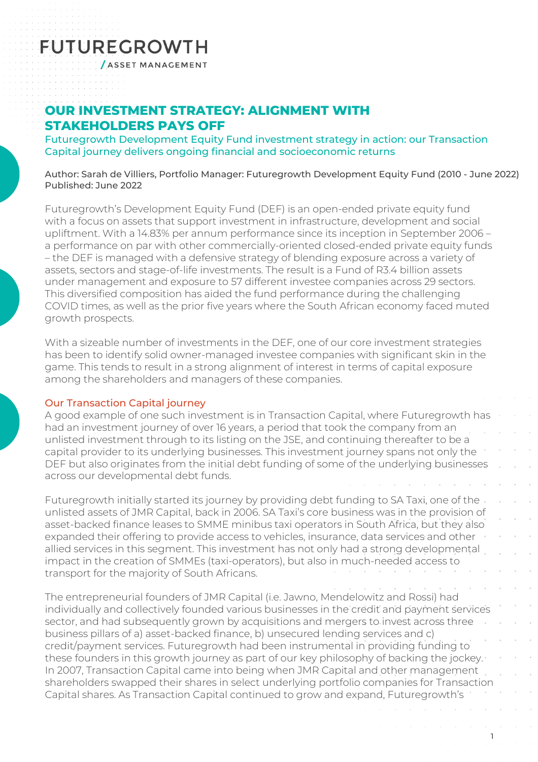# **FUTUREGROWTH**

**/ASSET MANAGEMENT** 

### **OUR INVESTMENT STRATEGY: ALIGNMENT WITH STAKEHOLDERS PAYS OFF**

Futuregrowth Development Equity Fund investment strategy in action: our Transaction Capital journey delivers ongoing financial and socioeconomic returns

Author: Sarah de Villiers, Portfolio Manager: Futuregrowth Development Equity Fund (2010 - June 2022) Published: June 2022

Futuregrowth's Development Equity Fund (DEF) is an open-ended private equity fund with a focus on assets that support investment in infrastructure, development and social upliftment. With a 14.83% per annum performance since its inception in September 2006 – a performance on par with other commercially-oriented closed-ended private equity funds – the DEF is managed with a defensive strategy of blending exposure across a variety of assets, sectors and stage-of-life investments. The result is a Fund of R3.4 billion assets under management and exposure to 57 different investee companies across 29 sectors. This diversified composition has aided the fund performance during the challenging COVID times, as well as the prior five years where the South African economy faced muted growth prospects.

With a sizeable number of investments in the DEF, one of our core investment strategies has been to identify solid owner-managed investee companies with significant skin in the game. This tends to result in a strong alignment of interest in terms of capital exposure among the shareholders and managers of these companies.

### Our Transaction Capital journey

A good example of one such investment is in Transaction Capital, where Futuregrowth has had an investment journey of over 16 years, a period that took the company from an unlisted investment through to its listing on the JSE, and continuing thereafter to be a capital provider to its underlying businesses. This investment journey spans not only the DEF but also originates from the initial debt funding of some of the underlying businesses across our developmental debt funds.

Futuregrowth initially started its journey by providing debt funding to SA Taxi, one of the unlisted assets of JMR Capital, back in 2006. SA Taxi's core business was in the provision of asset-backed finance leases to SMME minibus taxi operators in South Africa, but they also expanded their offering to provide access to vehicles, insurance, data services and other allied services in this segment. This investment has not only had a strong developmental impact in the creation of SMMEs (taxi-operators), but also in much-needed access to transport for the majority of South Africans.

The entrepreneurial founders of JMR Capital (i.e. Jawno, Mendelowitz and Rossi) had individually and collectively founded various businesses in the credit and payment services sector, and had subsequently grown by acquisitions and mergers to invest across three business pillars of a) asset-backed finance, b) unsecured lending services and c) credit/payment services. Futuregrowth had been instrumental in providing funding to these founders in this growth journey as part of our key philosophy of backing the jockey. In 2007, Transaction Capital came into being when JMR Capital and other management shareholders swapped their shares in select underlying portfolio companies for Transaction Capital shares. As Transaction Capital continued to grow and expand, Futuregrowth's

1